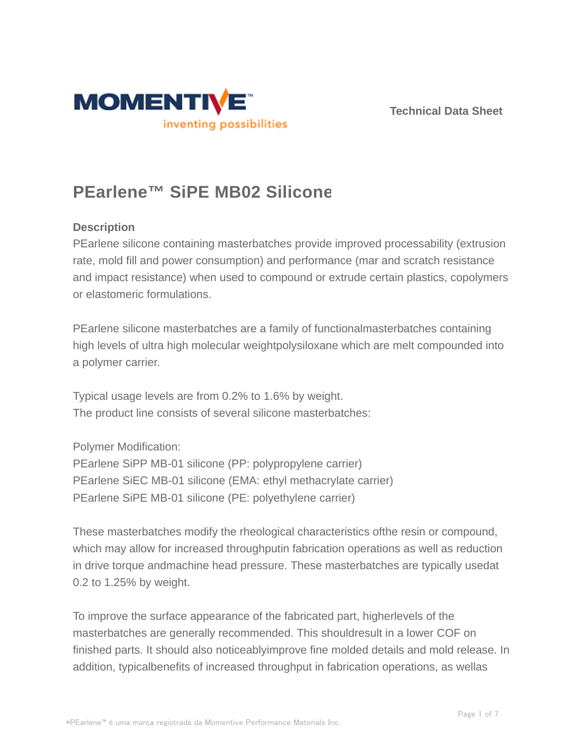



# **PEarlene™ SiPE MB02 Silicone**

## **Description**

PEarlene silicone containing masterbatches provide improved processability (extrusion rate, mold fill and power consumption) and performance (mar and scratch resistance and impact resistance) when used to compound or extrude certain plastics, copolymers or elastomeric formulations.

PEarlene silicone masterbatches are a family of functionalmasterbatches containing high levels of ultra high molecular weightpolysiloxane which are melt compounded into a polymer carrier.

Typical usage levels are from 0.2% to 1.6% by weight. The product line consists of several silicone masterbatches:

Polymer Modification:

PEarlene SiPP MB-01 silicone (PP: polypropylene carrier) PEarlene SiEC MB-01 silicone (EMA: ethyl methacrylate carrier) PEarlene SiPE MB-01 silicone (PE: polyethylene carrier)

These masterbatches modify the rheological characteristics ofthe resin or compound, which may allow for increased throughputin fabrication operations as well as reduction in drive torque andmachine head pressure. These masterbatches are typically usedat 0.2 to 1.25% by weight.

To improve the surface appearance of the fabricated part, higherlevels of the masterbatches are generally recommended. This shouldresult in a lower COF on finished parts. It should also noticeablyimprove fine molded details and mold release. In addition, typicalbenefits of increased throughput in fabrication operations, as wellas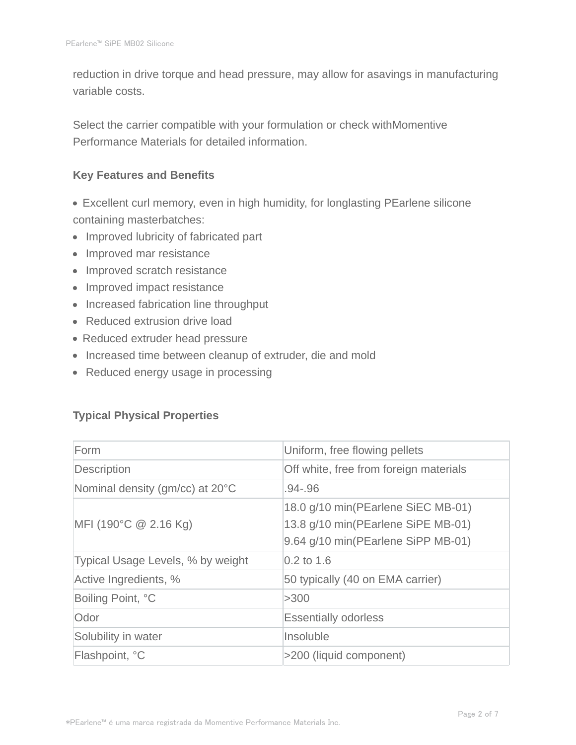reduction in drive torque and head pressure, may allow for asavings in manufacturing variable costs.

Select the carrier compatible with your formulation or check withMomentive Performance Materials for detailed information.

#### **Key Features and Benefits**

- Excellent curl memory, even in high humidity, for longlasting PEarlene silicone containing masterbatches:
- Improved lubricity of fabricated part
- Improved mar resistance
- Improved scratch resistance
- Improved impact resistance
- Increased fabrication line throughput
- Reduced extrusion drive load
- Reduced extruder head pressure
- Increased time between cleanup of extruder, die and mold
- Reduced energy usage in processing

## **Typical Physical Properties**

| Form                              | Uniform, free flowing pellets                                                                                  |  |
|-----------------------------------|----------------------------------------------------------------------------------------------------------------|--|
| <b>Description</b>                | Off white, free from foreign materials                                                                         |  |
| Nominal density (gm/cc) at 20°C   | $.94 - .96$                                                                                                    |  |
| $MFI$ (190°C $@$ 2.16 Kg)         | 18.0 g/10 min(PEarlene SiEC MB-01)<br>13.8 g/10 min(PEarlene SiPE MB-01)<br>9.64 g/10 min(PEarlene SiPP MB-01) |  |
| Typical Usage Levels, % by weight | $0.2$ to 1.6                                                                                                   |  |
| Active Ingredients, %             | 50 typically (40 on EMA carrier)                                                                               |  |
| Boiling Point, °C                 | >300                                                                                                           |  |
| Odor                              | <b>Essentially odorless</b>                                                                                    |  |
| Solubility in water               | Insoluble                                                                                                      |  |
| Flashpoint, °C                    | >200 (liquid component)                                                                                        |  |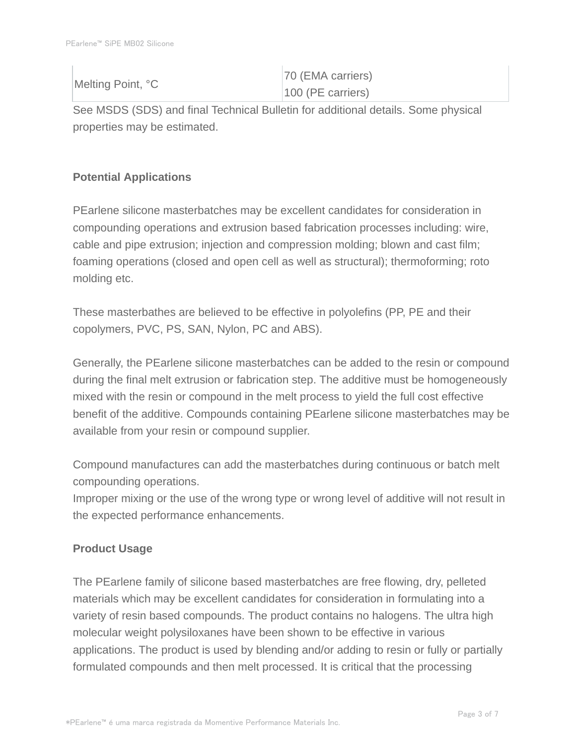| Melting Point, °C | 70 (EMA carriers)   |
|-------------------|---------------------|
|                   | $100$ (PE carriers) |

See MSDS (SDS) and final Technical Bulletin for additional details. Some physical properties may be estimated.

# **Potential Applications**

PEarlene silicone masterbatches may be excellent candidates for consideration in compounding operations and extrusion based fabrication processes including: wire, cable and pipe extrusion; injection and compression molding; blown and cast film; foaming operations (closed and open cell as well as structural); thermoforming; roto molding etc.

These masterbathes are believed to be effective in polyolefins (PP, PE and their copolymers, PVC, PS, SAN, Nylon, PC and ABS).

Generally, the PEarlene silicone masterbatches can be added to the resin or compound during the final melt extrusion or fabrication step. The additive must be homogeneously mixed with the resin or compound in the melt process to yield the full cost effective benefit of the additive. Compounds containing PEarlene silicone masterbatches may be available from your resin or compound supplier.

Compound manufactures can add the masterbatches during continuous or batch melt compounding operations.

Improper mixing or the use of the wrong type or wrong level of additive will not result in the expected performance enhancements.

# **Product Usage**

The PEarlene family of silicone based masterbatches are free flowing, dry, pelleted materials which may be excellent candidates for consideration in formulating into a variety of resin based compounds. The product contains no halogens. The ultra high molecular weight polysiloxanes have been shown to be effective in various applications. The product is used by blending and/or adding to resin or fully or partially formulated compounds and then melt processed. It is critical that the processing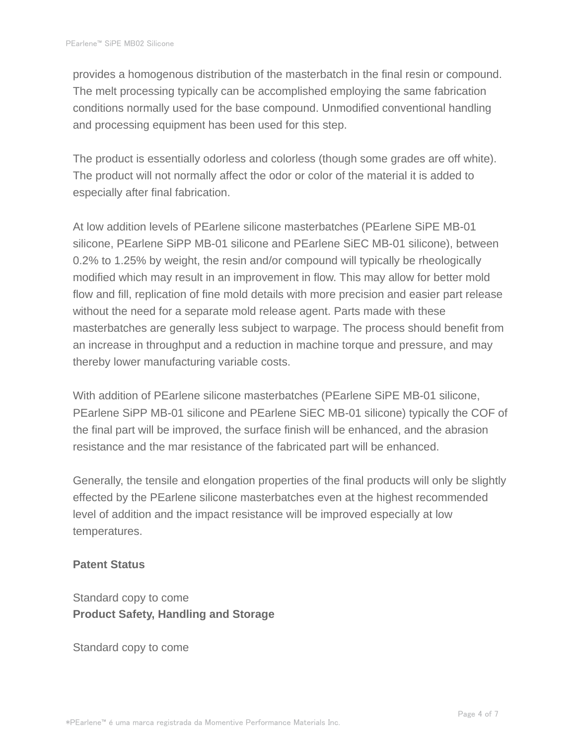provides a homogenous distribution of the masterbatch in the final resin or compound. The melt processing typically can be accomplished employing the same fabrication conditions normally used for the base compound. Unmodified conventional handling and processing equipment has been used for this step.

The product is essentially odorless and colorless (though some grades are off white). The product will not normally affect the odor or color of the material it is added to especially after final fabrication.

At low addition levels of PEarlene silicone masterbatches (PEarlene SiPE MB-01 silicone, PEarlene SiPP MB-01 silicone and PEarlene SiEC MB-01 silicone), between 0.2% to 1.25% by weight, the resin and/or compound will typically be rheologically modified which may result in an improvement in flow. This may allow for better mold flow and fill, replication of fine mold details with more precision and easier part release without the need for a separate mold release agent. Parts made with these masterbatches are generally less subject to warpage. The process should benefit from an increase in throughput and a reduction in machine torque and pressure, and may thereby lower manufacturing variable costs.

With addition of PEarlene silicone masterbatches (PEarlene SiPE MB-01 silicone, PEarlene SiPP MB-01 silicone and PEarlene SiEC MB-01 silicone) typically the COF of the final part will be improved, the surface finish will be enhanced, and the abrasion resistance and the mar resistance of the fabricated part will be enhanced.

Generally, the tensile and elongation properties of the final products will only be slightly effected by the PEarlene silicone masterbatches even at the highest recommended level of addition and the impact resistance will be improved especially at low temperatures.

#### **Patent Status**

Standard copy to come **Product Safety, Handling and Storage**

Standard copy to come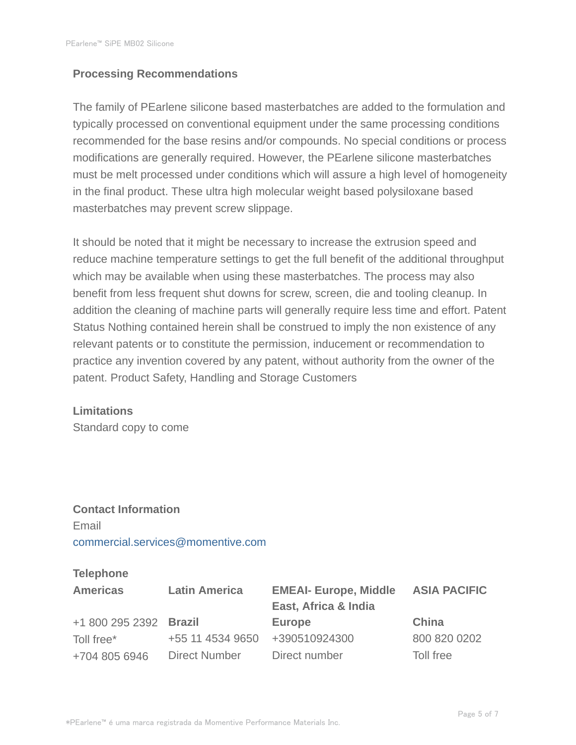#### **Processing Recommendations**

The family of PEarlene silicone based masterbatches are added to the formulation and typically processed on conventional equipment under the same processing conditions recommended for the base resins and/or compounds. No special conditions or process modifications are generally required. However, the PEarlene silicone masterbatches must be melt processed under conditions which will assure a high level of homogeneity in the final product. These ultra high molecular weight based polysiloxane based masterbatches may prevent screw slippage.

It should be noted that it might be necessary to increase the extrusion speed and reduce machine temperature settings to get the full benefit of the additional throughput which may be available when using these masterbatches. The process may also benefit from less frequent shut downs for screw, screen, die and tooling cleanup. In addition the cleaning of machine parts will generally require less time and effort. Patent Status Nothing contained herein shall be construed to imply the non existence of any relevant patents or to constitute the permission, inducement or recommendation to practice any invention covered by any patent, without authority from the owner of the patent. Product Safety, Handling and Storage Customers

#### **Limitations**

Standard copy to come

# **Contact Information** Email commercial.services@momentive.com

#### **Telephone**

| <b>Americas</b>        | <b>Latin America</b> | <b>EMEAI- Europe, Middle</b><br>East, Africa & India | <b>ASIA PACIFIC</b> |
|------------------------|----------------------|------------------------------------------------------|---------------------|
| +1 800 295 2392 Brazil |                      | <b>Europe</b>                                        | China               |
| Toll free*             | +55 11 4534 9650     | +390510924300                                        | 800 820 0202        |
| +704 805 6946          | <b>Direct Number</b> | Direct number                                        | Toll free           |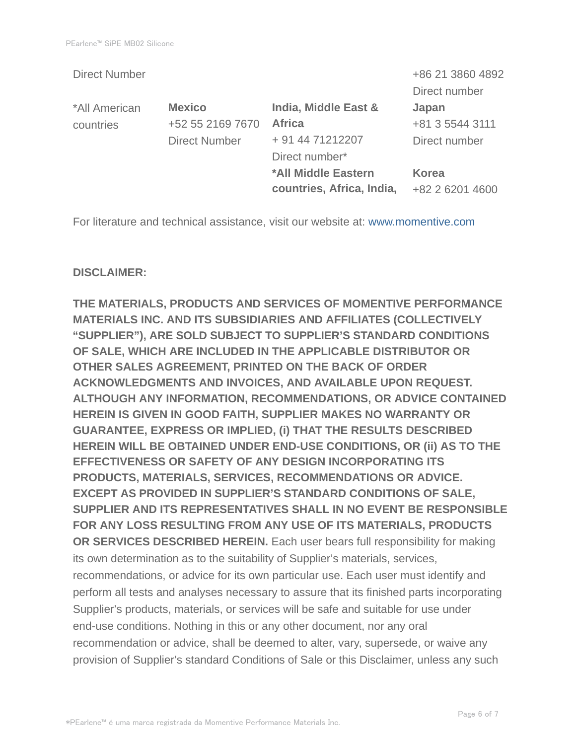|                      |                           | +86 21 3860 4892 |
|----------------------|---------------------------|------------------|
|                      |                           | Direct number    |
| <b>Mexico</b>        | India, Middle East &      | Japan            |
| +52 55 2169 7670     | <b>Africa</b>             | +81 3 5544 3111  |
| <b>Direct Number</b> | + 91 44 71212207          | Direct number    |
|                      | Direct number*            |                  |
|                      | *All Middle Eastern       | <b>Korea</b>     |
|                      | countries, Africa, India, | +82 2 6201 4600  |
|                      |                           |                  |

For literature and technical assistance, visit our website at: www.momentive.com

#### **DISCLAIMER:**

**THE MATERIALS, PRODUCTS AND SERVICES OF MOMENTIVE PERFORMANCE MATERIALS INC. AND ITS SUBSIDIARIES AND AFFILIATES (COLLECTIVELY "SUPPLIER"), ARE SOLD SUBJECT TO SUPPLIER'S STANDARD CONDITIONS OF SALE, WHICH ARE INCLUDED IN THE APPLICABLE DISTRIBUTOR OR OTHER SALES AGREEMENT, PRINTED ON THE BACK OF ORDER ACKNOWLEDGMENTS AND INVOICES, AND AVAILABLE UPON REQUEST. ALTHOUGH ANY INFORMATION, RECOMMENDATIONS, OR ADVICE CONTAINED HEREIN IS GIVEN IN GOOD FAITH, SUPPLIER MAKES NO WARRANTY OR GUARANTEE, EXPRESS OR IMPLIED, (i) THAT THE RESULTS DESCRIBED HEREIN WILL BE OBTAINED UNDER END-USE CONDITIONS, OR (ii) AS TO THE EFFECTIVENESS OR SAFETY OF ANY DESIGN INCORPORATING ITS PRODUCTS, MATERIALS, SERVICES, RECOMMENDATIONS OR ADVICE. EXCEPT AS PROVIDED IN SUPPLIER'S STANDARD CONDITIONS OF SALE, SUPPLIER AND ITS REPRESENTATIVES SHALL IN NO EVENT BE RESPONSIBLE FOR ANY LOSS RESULTING FROM ANY USE OF ITS MATERIALS, PRODUCTS OR SERVICES DESCRIBED HEREIN.** Each user bears full responsibility for making its own determination as to the suitability of Supplier's materials, services, recommendations, or advice for its own particular use. Each user must identify and perform all tests and analyses necessary to assure that its finished parts incorporating Supplier's products, materials, or services will be safe and suitable for use under end-use conditions. Nothing in this or any other document, nor any oral recommendation or advice, shall be deemed to alter, vary, supersede, or waive any provision of Supplier's standard Conditions of Sale or this Disclaimer, unless any such